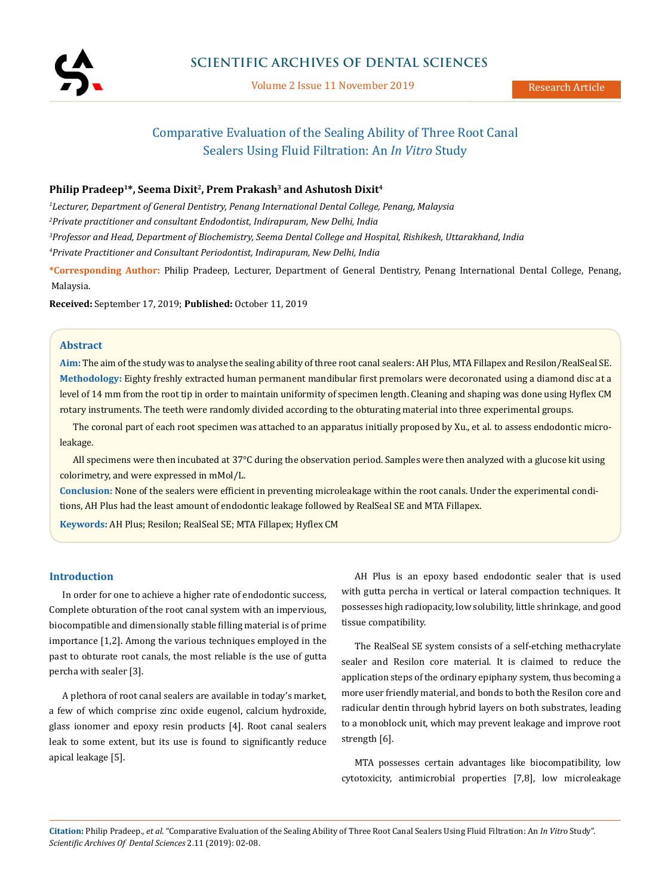

Volume 2 Issue 11 November 2019

# Comparative Evaluation of the Sealing Ability of Three Root Canal Sealers Using Fluid Filtration: An *In Vitro* Study

# Philip Pradeep<sup>1\*</sup>, Seema Dixit<sup>2</sup>, Prem Prakash<sup>3</sup> and Ashutosh Dixit<sup>4</sup>

 *Lecturer, Department of General Dentistry, Penang International Dental College, Penang, Malaysia Private practitioner and consultant Endodontist, Indirapuram, New Delhi, India Professor and Head, Department of Biochemistry, Seema Dental College and Hospital, Rishikesh, Uttarakhand, India Private Practitioner and Consultant Periodontist, Indirapuram, New Delhi, India*

**\*Corresponding Author:** Philip Pradeep, Lecturer, Department of General Dentistry, Penang International Dental College, Penang, Malaysia.

**Received:** September 17, 2019; **Published:** October 11, 2019

## **Abstract**

**Aim:** The aim of the study was to analyse the sealing ability of three root canal sealers: AH Plus, MTA Fillapex and Resilon/RealSeal SE. **Methodology:** Eighty freshly extracted human permanent mandibular first premolars were decoronated using a diamond disc at a level of 14 mm from the root tip in order to maintain uniformity of specimen length. Cleaning and shaping was done using Hyflex CM rotary instruments. The teeth were randomly divided according to the obturating material into three experimental groups.

The coronal part of each root specimen was attached to an apparatus initially proposed by Xu., et al. to assess endodontic microleakage.

All specimens were then incubated at 37°C during the observation period. Samples were then analyzed with a glucose kit using colorimetry, and were expressed in mMol/L.

**Conclusion:** None of the sealers were efficient in preventing microleakage within the root canals. Under the experimental conditions, AH Plus had the least amount of endodontic leakage followed by RealSeal SE and MTA Fillapex.

**Keywords:** AH Plus; Resilon; RealSeal SE; MTA Fillapex; Hyflex CM

# **Introduction**

In order for one to achieve a higher rate of endodontic success, Complete obturation of the root canal system with an impervious, biocompatible and dimensionally stable filling material is of prime importance [1,2]. Among the various techniques employed in the past to obturate root canals, the most reliable is the use of gutta percha with sealer [3].

A plethora of root canal sealers are available in today's market, a few of which comprise zinc oxide eugenol, calcium hydroxide, glass ionomer and epoxy resin products [4]. Root canal sealers leak to some extent, but its use is found to significantly reduce apical leakage [5].

AH Plus is an epoxy based endodontic sealer that is used with gutta percha in vertical or lateral compaction techniques. It possesses high radiopacity, low solubility, little shrinkage, and good tissue compatibility.

The RealSeal SE system consists of a self-etching methacrylate sealer and Resilon core material. It is claimed to reduce the application steps of the ordinary epiphany system, thus becoming a more user friendly material, and bonds to both the Resilon core and radicular dentin through hybrid layers on both substrates, leading to a monoblock unit, which may prevent leakage and improve root strength [6].

MTA possesses certain advantages like biocompatibility, low cytotoxicity, antimicrobial properties [7,8], low microleakage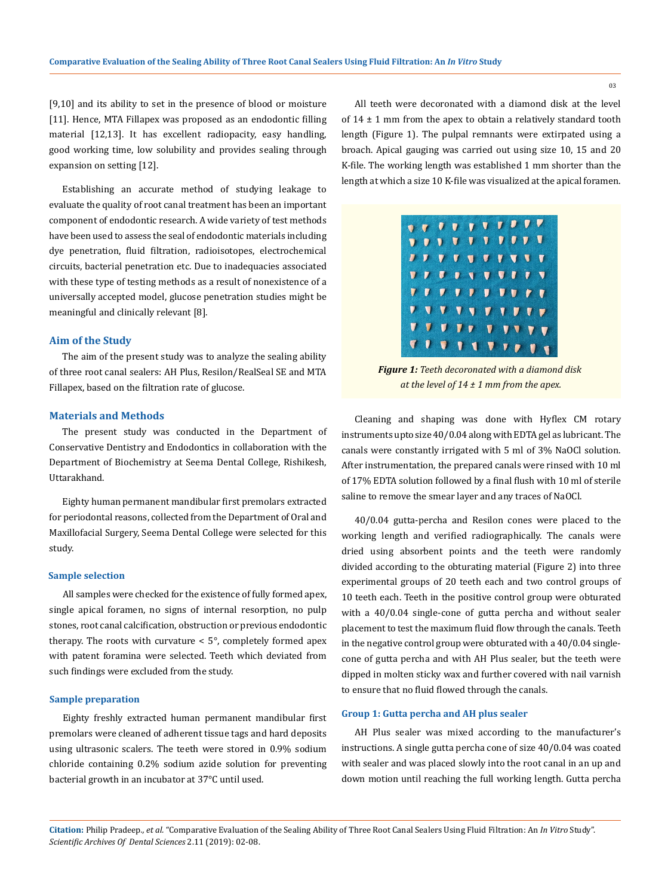[9,10] and its ability to set in the presence of blood or moisture [11]. Hence, MTA Fillapex was proposed as an endodontic filling material [12,13]. It has excellent radiopacity, easy handling, good working time, low solubility and provides sealing through expansion on setting [12].

Establishing an accurate method of studying leakage to evaluate the quality of root canal treatment has been an important component of endodontic research. A wide variety of test methods have been used to assess the seal of endodontic materials including dye penetration, fluid filtration, radioisotopes, electrochemical circuits, bacterial penetration etc. Due to inadequacies associated with these type of testing methods as a result of nonexistence of a universally accepted model, glucose penetration studies might be meaningful and clinically relevant [8].

### **Aim of the Study**

The aim of the present study was to analyze the sealing ability of three root canal sealers: AH Plus, Resilon/RealSeal SE and MTA Fillapex, based on the filtration rate of glucose.

## **Materials and Methods**

The present study was conducted in the Department of Conservative Dentistry and Endodontics in collaboration with the Department of Biochemistry at Seema Dental College, Rishikesh, Uttarakhand.

Eighty human permanent mandibular first premolars extracted for periodontal reasons, collected from the Department of Oral and Maxillofacial Surgery, Seema Dental College were selected for this study.

#### **Sample selection**

All samples were checked for the existence of fully formed apex, single apical foramen, no signs of internal resorption, no pulp stones, root canal calcification, obstruction or previous endodontic therapy. The roots with curvature < 5°, completely formed apex with patent foramina were selected. Teeth which deviated from such findings were excluded from the study.

#### **Sample preparation**

Eighty freshly extracted human permanent mandibular first premolars were cleaned of adherent tissue tags and hard deposits using ultrasonic scalers. The teeth were stored in 0.9% sodium chloride containing 0.2% sodium azide solution for preventing bacterial growth in an incubator at 37°C until used.

All teeth were decoronated with a diamond disk at the level of  $14 \pm 1$  mm from the apex to obtain a relatively standard tooth length (Figure 1). The pulpal remnants were extirpated using a broach. Apical gauging was carried out using size 10, 15 and 20 K-file. The working length was established 1 mm shorter than the length at which a size 10 K-file was visualized at the apical foramen.

|  |  | <b>O C C C L L L L C C C</b>      |  |  |
|--|--|-----------------------------------|--|--|
|  |  | <b>0000000000</b>                 |  |  |
|  |  | <i><b><i></i></b></i>             |  |  |
|  |  | <b>V <i>J G</i></b> D V V V J J V |  |  |
|  |  | 1111111111                        |  |  |
|  |  |                                   |  |  |
|  |  | <b>7 7 8 7 9 7 7 7 7 7</b>        |  |  |
|  |  | 7 7 7 7 1 7 7 7 7 1               |  |  |

*Figure 1: Teeth decoronated with a diamond disk at the level of 14 ± 1 mm from the apex.*

Cleaning and shaping was done with Hyflex CM rotary instruments upto size 40/0.04 along with EDTA gel as lubricant. The canals were constantly irrigated with 5 ml of 3% NaOCl solution. After instrumentation, the prepared canals were rinsed with 10 ml of 17% EDTA solution followed by a final flush with 10 ml of sterile saline to remove the smear layer and any traces of NaOCl.

40/0.04 gutta-percha and Resilon cones were placed to the working length and verified radiographically. The canals were dried using absorbent points and the teeth were randomly divided according to the obturating material (Figure 2) into three experimental groups of 20 teeth each and two control groups of 10 teeth each. Teeth in the positive control group were obturated with a 40/0.04 single-cone of gutta percha and without sealer placement to test the maximum fluid flow through the canals. Teeth in the negative control group were obturated with a 40/0.04 singlecone of gutta percha and with AH Plus sealer, but the teeth were dipped in molten sticky wax and further covered with nail varnish to ensure that no fluid flowed through the canals.

## **Group 1: Gutta percha and AH plus sealer**

AH Plus sealer was mixed according to the manufacturer's instructions. A single gutta percha cone of size 40/0.04 was coated with sealer and was placed slowly into the root canal in an up and down motion until reaching the full working length. Gutta percha

**Citation:** Philip Pradeep*., et al.* "Comparative Evaluation of the Sealing Ability of Three Root Canal Sealers Using Fluid Filtration: An *In Vitro* Study". *Scientific Archives Of Dental Sciences* 2.11 (2019): 02-08.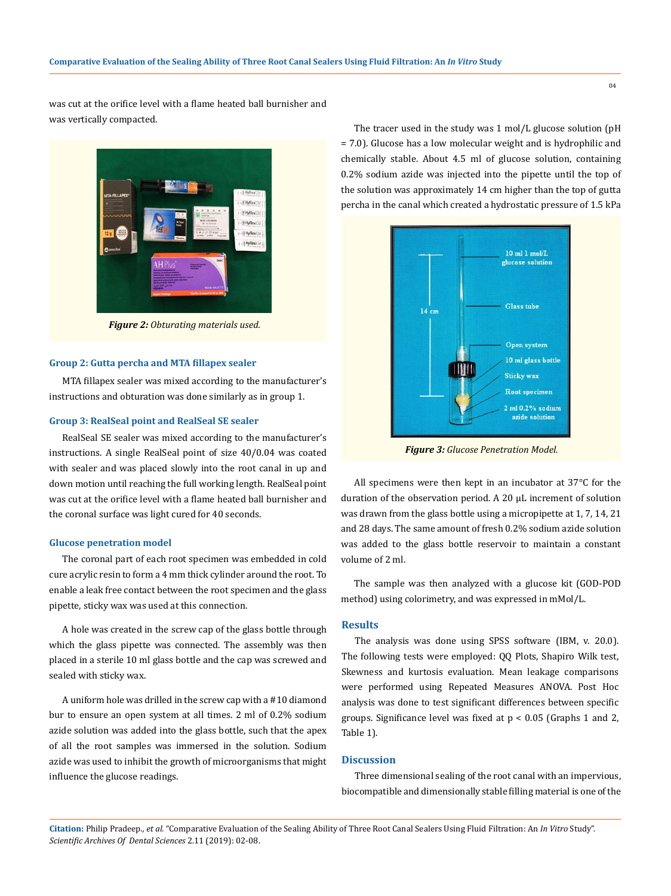was cut at the orifice level with a flame heated ball burnisher and was vertically compacted.



*Figure 2: Obturating materials used.*

#### **Group 2: Gutta percha and MTA fillapex sealer**

MTA fillapex sealer was mixed according to the manufacturer's instructions and obturation was done similarly as in group 1.

## **Group 3: RealSeal point and RealSeal SE sealer**

RealSeal SE sealer was mixed according to the manufacturer's instructions. A single RealSeal point of size 40/0.04 was coated with sealer and was placed slowly into the root canal in up and down motion until reaching the full working length. RealSeal point was cut at the orifice level with a flame heated ball burnisher and the coronal surface was light cured for 40 seconds.

#### **Glucose penetration model**

The coronal part of each root specimen was embedded in cold cure acrylic resin to form a 4 mm thick cylinder around the root. To enable a leak free contact between the root specimen and the glass pipette, sticky wax was used at this connection.

A hole was created in the screw cap of the glass bottle through which the glass pipette was connected. The assembly was then placed in a sterile 10 ml glass bottle and the cap was screwed and sealed with sticky wax.

A uniform hole was drilled in the screw cap with a #10 diamond bur to ensure an open system at all times. 2 ml of 0.2% sodium azide solution was added into the glass bottle, such that the apex of all the root samples was immersed in the solution. Sodium azide was used to inhibit the growth of microorganisms that might influence the glucose readings.

The tracer used in the study was 1 mol/L glucose solution (pH = 7.0). Glucose has a low molecular weight and is hydrophilic and chemically stable. About 4.5 ml of glucose solution, containing 0.2% sodium azide was injected into the pipette until the top of the solution was approximately 14 cm higher than the top of gutta percha in the canal which created a hydrostatic pressure of 1.5 kPa



*Figure 3: Glucose Penetration Model.*

All specimens were then kept in an incubator at 37°C for the duration of the observation period. A 20 µL increment of solution was drawn from the glass bottle using a micropipette at 1, 7, 14, 21 and 28 days. The same amount of fresh 0.2% sodium azide solution was added to the glass bottle reservoir to maintain a constant volume of 2 ml.

The sample was then analyzed with a glucose kit (GOD-POD method) using colorimetry, and was expressed in mMol/L.

#### **Results**

The analysis was done using SPSS software (IBM, v. 20.0). The following tests were employed: QQ Plots, Shapiro Wilk test, Skewness and kurtosis evaluation. Mean leakage comparisons were performed using Repeated Measures ANOVA. Post Hoc analysis was done to test significant differences between specific groups. Significance level was fixed at p < 0.05 (Graphs 1 and 2, Table 1).

#### **Discussion**

Three dimensional sealing of the root canal with an impervious, biocompatible and dimensionally stable filling material is one of the

**Citation:** Philip Pradeep*., et al.* "Comparative Evaluation of the Sealing Ability of Three Root Canal Sealers Using Fluid Filtration: An *In Vitro* Study". *Scientific Archives Of Dental Sciences* 2.11 (2019): 02-08.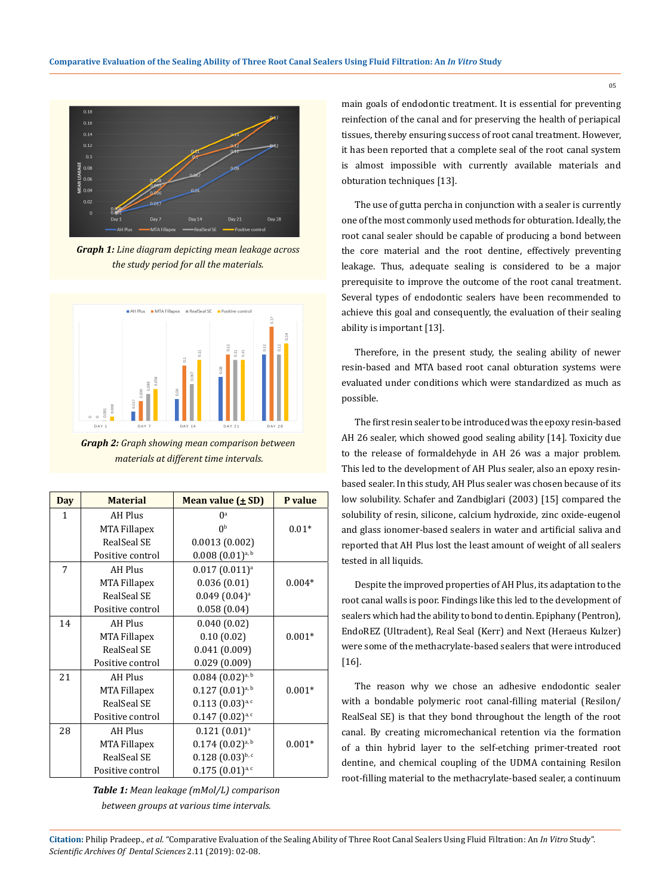

*Graph 1: Line diagram depicting mean leakage across the study period for all the materials.*



*Graph 2: Graph showing mean comparison between materials at different time intervals.*

| <b>Day</b>   | <b>Material</b>     | Mean value $(\pm SD)$      | P value  |  |  |
|--------------|---------------------|----------------------------|----------|--|--|
| $\mathbf{1}$ | AH Plus             | $0^a$                      |          |  |  |
|              | MTA Fillapex        | 0 <sup>b</sup>             | $0.01*$  |  |  |
|              | RealSeal SE         | 0.0013(0.002)              |          |  |  |
|              | Positive control    | $0.008(0.01)^{a, b}$       |          |  |  |
| 7            | <b>AH Plus</b>      | $0.017(0.011)^a$           |          |  |  |
|              | MTA Fillapex        | 0.036(0.01)                | $0.004*$ |  |  |
|              | RealSeal SE         | $0.049(0.04)$ <sup>a</sup> |          |  |  |
|              | Positive control    | 0.058(0.04)                |          |  |  |
| 14           | AH Plus             | 0.040(0.02)                |          |  |  |
|              | <b>MTA Fillapex</b> | 0.10(0.02)                 | $0.001*$ |  |  |
|              | RealSeal SE         | 0.041(0.009)               |          |  |  |
|              | Positive control    | 0.029(0.009)               |          |  |  |
| 21           | <b>AH Plus</b>      | $0.084$ $(0.02)^{a, b}$    |          |  |  |
|              | <b>MTA Fillapex</b> | $0.127(0.01)^{a, b}$       | $0.001*$ |  |  |
|              | RealSeal SE         | $0.113(0.03)^{a,c}$        |          |  |  |
|              | Positive control    | $0.147(0.02)^{a,c}$        |          |  |  |
| 28           | <b>AH Plus</b>      | $0.121(0.01)^a$            |          |  |  |
|              | <b>MTA Fillapex</b> | $0.174$ $(0.02)^{a, b}$    | $0.001*$ |  |  |
|              | RealSeal SE         | $0.128(0.03)^{b,c}$        |          |  |  |
|              | Positive control    | $0.175(0.01)^{a, c}$       |          |  |  |

*Table 1: Mean leakage (mMol/L) comparison between groups at various time intervals.*

main goals of endodontic treatment. It is essential for preventing reinfection of the canal and for preserving the health of periapical tissues, thereby ensuring success of root canal treatment. However, it has been reported that a complete seal of the root canal system is almost impossible with currently available materials and obturation techniques [13].

The use of gutta percha in conjunction with a sealer is currently one of the most commonly used methods for obturation. Ideally, the root canal sealer should be capable of producing a bond between the core material and the root dentine, effectively preventing leakage. Thus, adequate sealing is considered to be a major prerequisite to improve the outcome of the root canal treatment. Several types of endodontic sealers have been recommended to achieve this goal and consequently, the evaluation of their sealing ability is important [13].

Therefore, in the present study, the sealing ability of newer resin-based and MTA based root canal obturation systems were evaluated under conditions which were standardized as much as possible.

The first resin sealer to be introduced was the epoxy resin-based AH 26 sealer, which showed good sealing ability [14]. Toxicity due to the release of formaldehyde in AH 26 was a major problem. This led to the development of AH Plus sealer, also an epoxy resinbased sealer. In this study, AH Plus sealer was chosen because of its low solubility. Schafer and Zandbiglari (2003) [15] compared the solubility of resin, silicone, calcium hydroxide, zinc oxide-eugenol and glass ionomer-based sealers in water and artificial saliva and reported that AH Plus lost the least amount of weight of all sealers tested in all liquids.

Despite the improved properties of AH Plus, its adaptation to the root canal walls is poor. Findings like this led to the development of sealers which had the ability to bond to dentin. Epiphany (Pentron), EndoREZ (Ultradent), Real Seal (Kerr) and Next (Heraeus Kulzer) were some of the methacrylate-based sealers that were introduced [16].

The reason why we chose an adhesive endodontic sealer with a bondable polymeric root canal-filling material (Resilon/ RealSeal SE) is that they bond throughout the length of the root canal. By creating micromechanical retention via the formation of a thin hybrid layer to the self-etching primer-treated root dentine, and chemical coupling of the UDMA containing Resilon root-filling material to the methacrylate-based sealer, a continuum

**Citation:** Philip Pradeep*., et al.* "Comparative Evaluation of the Sealing Ability of Three Root Canal Sealers Using Fluid Filtration: An *In Vitro* Study". *Scientific Archives Of Dental Sciences* 2.11 (2019): 02-08.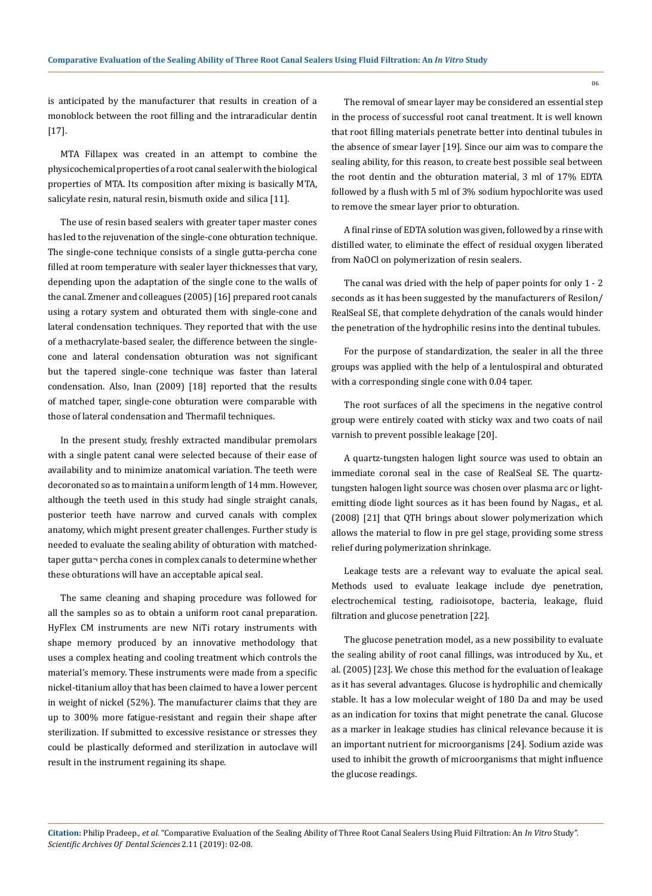is anticipated by the manufacturer that results in creation of a monoblock between the root filling and the intraradicular dentin [17].

MTA Fillapex was created in an attempt to combine the physicochemical properties of a root canal sealer with the biological properties of MTA. Its composition after mixing is basically MTA, salicylate resin, natural resin, bismuth oxide and silica [11].

The use of resin based sealers with greater taper master cones has led to the rejuvenation of the single-cone obturation technique. The single-cone technique consists of a single gutta-percha cone filled at room temperature with sealer layer thicknesses that vary, depending upon the adaptation of the single cone to the walls of the canal. Zmener and colleagues (2005) [16] prepared root canals using a rotary system and obturated them with single-cone and lateral condensation techniques. They reported that with the use of a methacrylate-based sealer, the difference between the singlecone and lateral condensation obturation was not significant but the tapered single-cone technique was faster than lateral condensation. Also, Inan (2009) [18] reported that the results of matched taper, single-cone obturation were comparable with those of lateral condensation and Thermafil techniques.

In the present study, freshly extracted mandibular premolars with a single patent canal were selected because of their ease of availability and to minimize anatomical variation. The teeth were decoronated so as to maintain a uniform length of 14 mm. However, although the teeth used in this study had single straight canals, posterior teeth have narrow and curved canals with complex anatomy, which might present greater challenges. Further study is needed to evaluate the sealing ability of obturation with matchedtaper gutta¬ percha cones in complex canals to determine whether these obturations will have an acceptable apical seal.

The same cleaning and shaping procedure was followed for all the samples so as to obtain a uniform root canal preparation. HyFlex CM instruments are new NiTi rotary instruments with shape memory produced by an innovative methodology that uses a complex heating and cooling treatment which controls the material's memory. These instruments were made from a specific nickel-titanium alloy that has been claimed to have a lower percent in weight of nickel (52%). The manufacturer claims that they are up to 300% more fatigue-resistant and regain their shape after sterilization. If submitted to excessive resistance or stresses they could be plastically deformed and sterilization in autoclave will result in the instrument regaining its shape.

The removal of smear layer may be considered an essential step in the process of successful root canal treatment. It is well known that root filling materials penetrate better into dentinal tubules in the absence of smear layer [19]. Since our aim was to compare the sealing ability, for this reason, to create best possible seal between the root dentin and the obturation material, 3 ml of 17% EDTA followed by a flush with 5 ml of 3% sodium hypochlorite was used to remove the smear layer prior to obturation.

A final rinse of EDTA solution was given, followed by a rinse with distilled water, to eliminate the effect of residual oxygen liberated from NaOCl on polymerization of resin sealers.

The canal was dried with the help of paper points for only 1 - 2 seconds as it has been suggested by the manufacturers of Resilon/ RealSeal SE, that complete dehydration of the canals would hinder the penetration of the hydrophilic resins into the dentinal tubules.

For the purpose of standardization, the sealer in all the three groups was applied with the help of a lentulospiral and obturated with a corresponding single cone with 0.04 taper.

The root surfaces of all the specimens in the negative control group were entirely coated with sticky wax and two coats of nail varnish to prevent possible leakage [20].

A quartz-tungsten halogen light source was used to obtain an immediate coronal seal in the case of RealSeal SE. The quartztungsten halogen light source was chosen over plasma arc or lightemitting diode light sources as it has been found by Nagas., et al. (2008) [21] that QTH brings about slower polymerization which allows the material to flow in pre gel stage, providing some stress relief during polymerization shrinkage.

Leakage tests are a relevant way to evaluate the apical seal. Methods used to evaluate leakage include dye penetration, electrochemical testing, radioisotope, bacteria, leakage, fluid filtration and glucose penetration [22].

The glucose penetration model, as a new possibility to evaluate the sealing ability of root canal fillings, was introduced by Xu., et al. (2005) [23]. We chose this method for the evaluation of leakage as it has several advantages. Glucose is hydrophilic and chemically stable. It has a low molecular weight of 180 Da and may be used as an indication for toxins that might penetrate the canal. Glucose as a marker in leakage studies has clinical relevance because it is an important nutrient for microorganisms [24]. Sodium azide was used to inhibit the growth of microorganisms that might influence the glucose readings.

**Citation:** Philip Pradeep*., et al.* "Comparative Evaluation of the Sealing Ability of Three Root Canal Sealers Using Fluid Filtration: An *In Vitro* Study". *Scientific Archives Of Dental Sciences* 2.11 (2019): 02-08.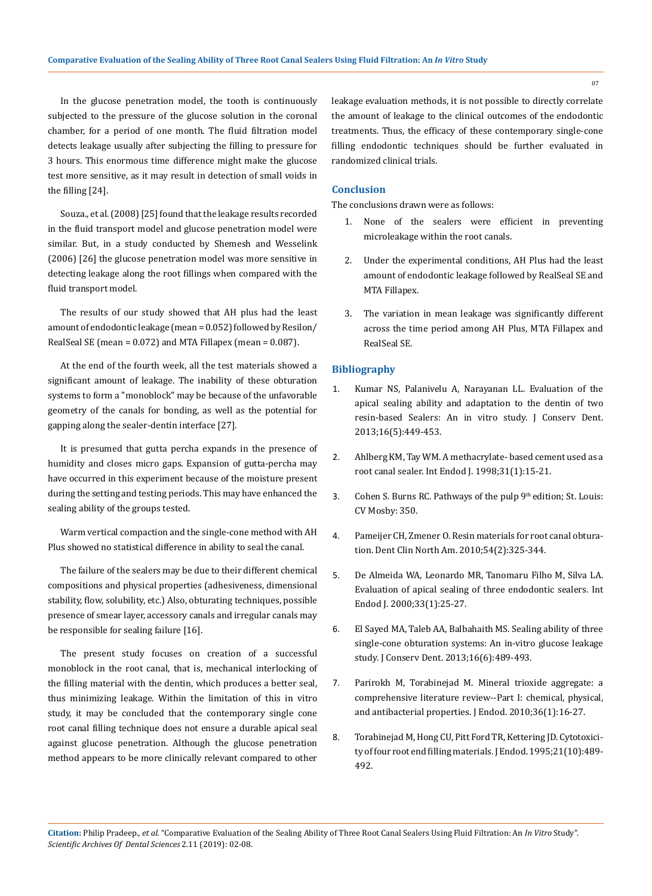In the glucose penetration model, the tooth is continuously subjected to the pressure of the glucose solution in the coronal chamber, for a period of one month. The fluid filtration model detects leakage usually after subjecting the filling to pressure for 3 hours. This enormous time difference might make the glucose test more sensitive, as it may result in detection of small voids in the filling [24].

Souza., et al. (2008) [25] found that the leakage results recorded in the fluid transport model and glucose penetration model were similar. But, in a study conducted by Shemesh and Wesselink (2006) [26] the glucose penetration model was more sensitive in detecting leakage along the root fillings when compared with the fluid transport model.

The results of our study showed that AH plus had the least amount of endodontic leakage (mean = 0.052) followed by Resilon/ RealSeal SE (mean = 0.072) and MTA Fillapex (mean = 0.087).

At the end of the fourth week, all the test materials showed a significant amount of leakage. The inability of these obturation systems to form a "monoblock" may be because of the unfavorable geometry of the canals for bonding, as well as the potential for gapping along the sealer-dentin interface [27].

It is presumed that gutta percha expands in the presence of humidity and closes micro gaps. Expansion of gutta-percha may have occurred in this experiment because of the moisture present during the setting and testing periods. This may have enhanced the sealing ability of the groups tested.

Warm vertical compaction and the single-cone method with AH Plus showed no statistical difference in ability to seal the canal.

The failure of the sealers may be due to their different chemical compositions and physical properties (adhesiveness, dimensional stability, flow, solubility, etc.) Also, obturating techniques, possible presence of smear layer, accessory canals and irregular canals may be responsible for sealing failure [16].

The present study focuses on creation of a successful monoblock in the root canal, that is, mechanical interlocking of the filling material with the dentin, which produces a better seal, thus minimizing leakage. Within the limitation of this in vitro study, it may be concluded that the contemporary single cone root canal filling technique does not ensure a durable apical seal against glucose penetration. Although the glucose penetration method appears to be more clinically relevant compared to other leakage evaluation methods, it is not possible to directly correlate the amount of leakage to the clinical outcomes of the endodontic treatments. Thus, the efficacy of these contemporary single-cone filling endodontic techniques should be further evaluated in randomized clinical trials.

## **Conclusion**

The conclusions drawn were as follows:

- 1. None of the sealers were efficient in preventing microleakage within the root canals.
- 2. Under the experimental conditions, AH Plus had the least amount of endodontic leakage followed by RealSeal SE and MTA Fillapex.
- The variation in mean leakage was significantly different across the time period among AH Plus, MTA Fillapex and RealSeal SE.

## **Bibliography**

- 1. [Kumar NS, Palanivelu A, Narayanan LL. Evaluation of the](https://www.ncbi.nlm.nih.gov/pmc/articles/PMC3778629/)  [apical sealing ability and adaptation to the dentin of two](https://www.ncbi.nlm.nih.gov/pmc/articles/PMC3778629/)  [resin-based Sealers: An in vitro study. J Conserv Dent.](https://www.ncbi.nlm.nih.gov/pmc/articles/PMC3778629/)  [2013;16\(5\):449-453.](https://www.ncbi.nlm.nih.gov/pmc/articles/PMC3778629/)
- 2. [Ahlberg KM, Tay WM. A methacrylate- based cement used as a](https://www.ncbi.nlm.nih.gov/pubmed/9823124)  [root canal sealer. Int Endod J. 1998;31\(1\):15-21.](https://www.ncbi.nlm.nih.gov/pubmed/9823124)
- 3. Cohen S. Burns RC. Pathways of the pulp 9<sup>th</sup> edition; St. Louis: CV Mosby: 350.
- 4. [Pameijer CH, Zmener O. Resin materials for root canal obtura](https://www.ncbi.nlm.nih.gov/pubmed/20433981)[tion. Dent Clin North Am. 2010;54\(2\):325-344.](https://www.ncbi.nlm.nih.gov/pubmed/20433981)
- 5. [De Almeida WA, Leonardo MR, Tanomaru Filho M, Silva LA.](https://www.ncbi.nlm.nih.gov/pubmed/11307470)  [Evaluation of apical sealing of three endodontic sealers. Int](https://www.ncbi.nlm.nih.gov/pubmed/11307470)  [Endod J. 2000;33\(1\):25-27.](https://www.ncbi.nlm.nih.gov/pubmed/11307470)
- 6. [El Sayed MA, Taleb AA, Balbahaith MS. Sealing ability of three](https://www.ncbi.nlm.nih.gov/pubmed/24347879)  [single-cone obturation systems: An in-vitro glucose leakage](https://www.ncbi.nlm.nih.gov/pubmed/24347879)  [study. J Conserv Dent. 2013;16\(6\):489-493.](https://www.ncbi.nlm.nih.gov/pubmed/24347879)
- 7. [Parirokh M, Torabinejad M. Mineral trioxide aggregate: a](https://www.ncbi.nlm.nih.gov/pubmed/20003930)  [comprehensive literature review--Part I: chemical, physical,](https://www.ncbi.nlm.nih.gov/pubmed/20003930)  [and antibacterial properties. J Endod. 2010;36\(1\):16-27.](https://www.ncbi.nlm.nih.gov/pubmed/20003930)
- 8. [Torabinejad M, Hong CU, Pitt Ford TR, Kettering JD. Cytotoxici](https://www.ncbi.nlm.nih.gov/pubmed/8596067)[ty of four root end filling materials. J Endod. 1995;21\(10\):489-](https://www.ncbi.nlm.nih.gov/pubmed/8596067) [492.](https://www.ncbi.nlm.nih.gov/pubmed/8596067)